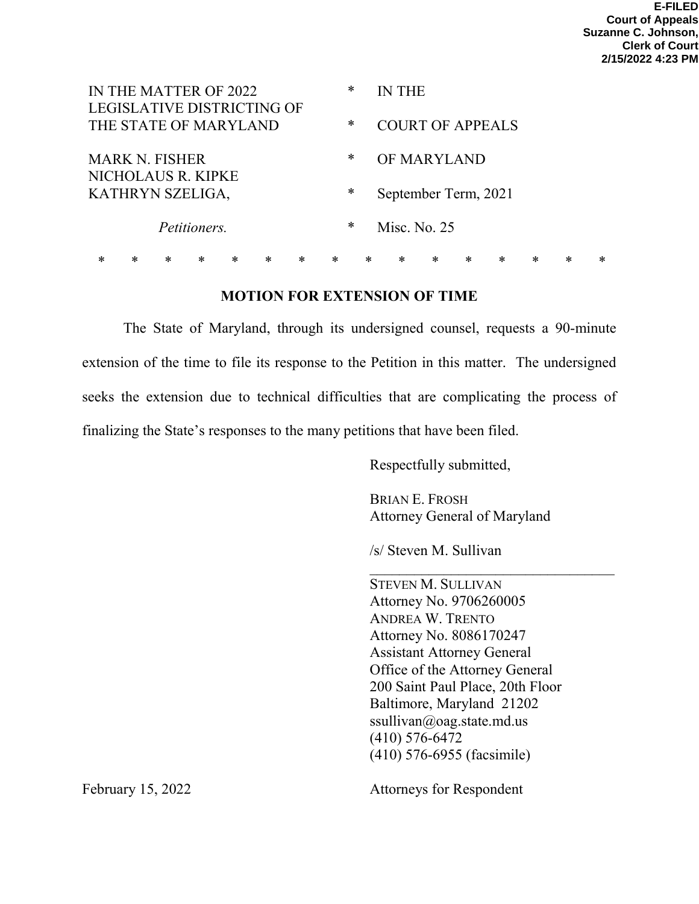| IN THE MATTER OF 2022<br>LEGISLATIVE DISTRICTING OF    |   |   |   |   |   |   |   | ∗ |        | <b>IN THE</b>           |        |        |        |   |   |   |  |
|--------------------------------------------------------|---|---|---|---|---|---|---|---|--------|-------------------------|--------|--------|--------|---|---|---|--|
| THE STATE OF MARYLAND                                  |   |   |   |   |   |   |   | * |        | <b>COURT OF APPEALS</b> |        |        |        |   |   |   |  |
| <b>MARK N. FISHER</b>                                  |   |   |   |   |   |   |   | ∗ |        | OF MARYLAND             |        |        |        |   |   |   |  |
| NICHOLAUS R. KIPKE<br>KATHRYN SZELIGA,<br>Petitioners. |   |   |   |   |   |   |   | ∗ |        | September Term, 2021    |        |        |        |   |   |   |  |
|                                                        |   |   |   |   |   |   |   | ∗ |        | Misc. No. 25            |        |        |        |   |   |   |  |
| $\ast$                                                 | * | * | * | * | * | * | * |   | $\ast$ | $\ast$                  | $\ast$ | $\ast$ | $\ast$ | * | ∗ | ∗ |  |

## **MOTION FOR EXTENSION OF TIME**

The State of Maryland, through its undersigned counsel, requests a 90-minute extension of the time to file its response to the Petition in this matter. The undersigned seeks the extension due to technical difficulties that are complicating the process of finalizing the State's responses to the many petitions that have been filed.

Respectfully submitted,

BRIAN E. FROSH Attorney General of Maryland

 $\mathcal{L}_\text{max}$  , where  $\mathcal{L}_\text{max}$  is the set of  $\mathcal{L}_\text{max}$ 

/s/ Steven M. Sullivan

STEVEN M. SULLIVAN Attorney No. 9706260005 ANDREA W. TRENTO Attorney No. 8086170247 Assistant Attorney General Office of the Attorney General 200 Saint Paul Place, 20th Floor Baltimore, Maryland 21202 ssullivan@oag.state.md.us (410) 576-6472 (410) 576-6955 (facsimile)

February 15, 2022 **Attorneys** for Respondent